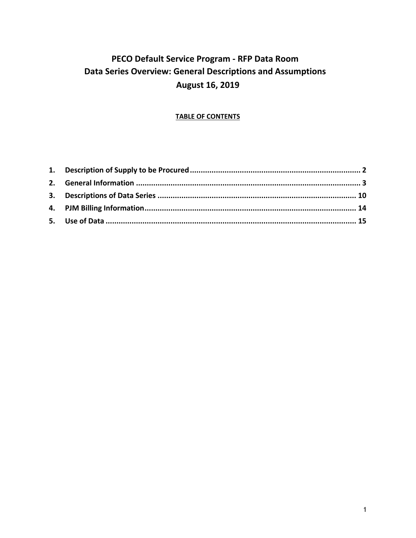# **PECO Default Service Program ‐ RFP Data Room Data Series Overview: General Descriptions and Assumptions August 16, 2019**

# **TABLE OF CONTENTS**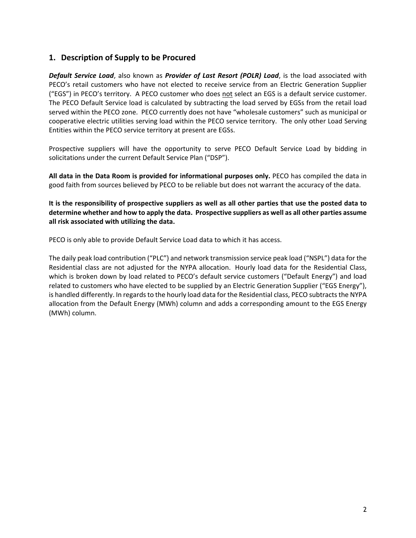# **1. Description of Supply to be Procured**

*Default Service Load*, also known as *Provider of Last Resort (POLR) Load*, is the load associated with PECO's retail customers who have not elected to receive service from an Electric Generation Supplier ("EGS") in PECO's territory. A PECO customer who does not select an EGS is a default service customer. The PECO Default Service load is calculated by subtracting the load served by EGSs from the retail load served within the PECO zone. PECO currently does not have "wholesale customers" such as municipal or cooperative electric utilities serving load within the PECO service territory. The only other Load Serving Entities within the PECO service territory at present are EGSs.

Prospective suppliers will have the opportunity to serve PECO Default Service Load by bidding in solicitations under the current Default Service Plan ("DSP").

**All data in the Data Room is provided for informational purposes only.** PECO has compiled the data in good faith from sources believed by PECO to be reliable but does not warrant the accuracy of the data.

**It is the responsibility of prospective suppliers as well as all other parties that use the posted data to determine whether and how to apply the data. Prospective suppliers as well as all other parties assume all risk associated with utilizing the data.** 

PECO is only able to provide Default Service Load data to which it has access.

The daily peak load contribution ("PLC") and network transmission service peak load ("NSPL") data for the Residential class are not adjusted for the NYPA allocation. Hourly load data for the Residential Class, which is broken down by load related to PECO's default service customers ("Default Energy") and load related to customers who have elected to be supplied by an Electric Generation Supplier ("EGS Energy"), is handled differently. In regards to the hourly load data for the Residential class, PECO subtracts the NYPA allocation from the Default Energy (MWh) column and adds a corresponding amount to the EGS Energy (MWh) column.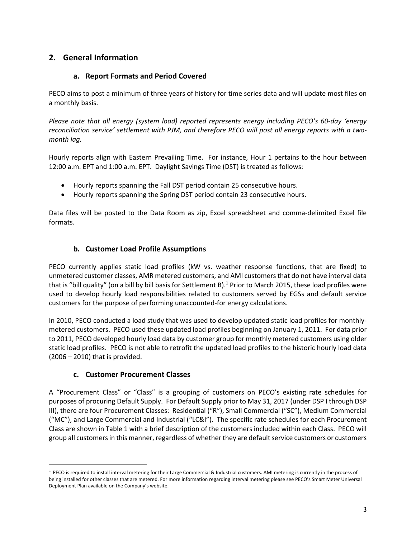# **2. General Information**

# **a. Report Formats and Period Covered**

PECO aims to post a minimum of three years of history for time series data and will update most files on a monthly basis.

*Please note that all energy (system load) reported represents energy including PECO's 60‐day 'energy reconciliation service' settlement with PJM, and therefore PECO will post all energy reports with a two‐ month lag.* 

Hourly reports align with Eastern Prevailing Time. For instance, Hour 1 pertains to the hour between 12:00 a.m. EPT and 1:00 a.m. EPT. Daylight Savings Time (DST) is treated as follows:

- Hourly reports spanning the Fall DST period contain 25 consecutive hours.
- Hourly reports spanning the Spring DST period contain 23 consecutive hours.

Data files will be posted to the Data Room as zip, Excel spreadsheet and comma-delimited Excel file formats.

# **b. Customer Load Profile Assumptions**

PECO currently applies static load profiles (kW vs. weather response functions, that are fixed) to unmetered customer classes, AMR metered customers, and AMI customers that do not have interval data that is "bill quality" (on a bill by bill basis for Settlement B).<sup>1</sup> Prior to March 2015, these load profiles were used to develop hourly load responsibilities related to customers served by EGSs and default service customers for the purpose of performing unaccounted‐for energy calculations.

In 2010, PECO conducted a load study that was used to develop updated static load profiles for monthly‐ metered customers. PECO used these updated load profiles beginning on January 1, 2011. For data prior to 2011, PECO developed hourly load data by customer group for monthly metered customers using older static load profiles. PECO is not able to retrofit the updated load profiles to the historic hourly load data (2006 – 2010) that is provided.

# **c. Customer Procurement Classes**

 $\overline{a}$ 

A "Procurement Class" or "Class" is a grouping of customers on PECO's existing rate schedules for purposes of procuring Default Supply. For Default Supply prior to May 31, 2017 (under DSP I through DSP III), there are four Procurement Classes: Residential ("R"), Small Commercial ("SC"), Medium Commercial ("MC"), and Large Commercial and Industrial ("LC&I"). The specific rate schedules for each Procurement Class are shown in Table 1 with a brief description of the customers included within each Class. PECO will group all customers in this manner, regardless of whether they are default service customers or customers

<sup>&</sup>lt;sup>1</sup> PECO is required to install interval metering for their Large Commercial & Industrial customers. AMI metering is currently in the process of being installed for other classes that are metered. For more information regarding interval metering please see PECO's Smart Meter Universal Deployment Plan available on the Company's website.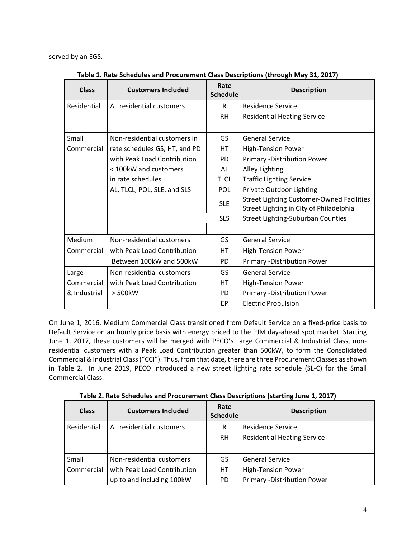served by an EGS.

| <b>Class</b> | <b>Customers Included</b>     | Rate<br><b>Schedule</b> | <b>Description</b>                                                                          |
|--------------|-------------------------------|-------------------------|---------------------------------------------------------------------------------------------|
| Residential  | All residential customers     | R                       | <b>Residence Service</b>                                                                    |
|              |                               | <b>RH</b>               | <b>Residential Heating Service</b>                                                          |
| Small        | Non-residential customers in  | GS                      | <b>General Service</b>                                                                      |
| Commercial   | rate schedules GS, HT, and PD | HT                      | <b>High-Tension Power</b>                                                                   |
|              | with Peak Load Contribution   | <b>PD</b>               | Primary - Distribution Power                                                                |
|              | < 100kW and customers         | AL                      | <b>Alley Lighting</b>                                                                       |
|              | in rate schedules             | <b>TLCL</b>             | <b>Traffic Lighting Service</b>                                                             |
|              | AL, TLCL, POL, SLE, and SLS   | <b>POL</b>              | Private Outdoor Lighting                                                                    |
|              |                               | <b>SLE</b>              | <b>Street Lighting Customer-Owned Facilities</b><br>Street Lighting in City of Philadelphia |
|              |                               | <b>SLS</b>              | <b>Street Lighting-Suburban Counties</b>                                                    |
|              |                               |                         |                                                                                             |
| Medium       | Non-residential customers     | GS                      | <b>General Service</b>                                                                      |
| Commercial   | with Peak Load Contribution   | <b>HT</b>               | <b>High-Tension Power</b>                                                                   |
|              | Between 100kW and 500kW       | <b>PD</b>               | Primary -Distribution Power                                                                 |
| Large        | Non-residential customers     | GS                      | <b>General Service</b>                                                                      |
| Commercial   | with Peak Load Contribution   | <b>HT</b>               | <b>High-Tension Power</b>                                                                   |
| & Industrial | > 500kW                       | <b>PD</b>               | Primary -Distribution Power                                                                 |
|              |                               | EP                      | <b>Electric Propulsion</b>                                                                  |

**Table 1. Rate Schedules and Procurement Class Descriptions (through May 31, 2017)** 

On June 1, 2016, Medium Commercial Class transitioned from Default Service on a fixed‐price basis to Default Service on an hourly price basis with energy priced to the PJM day-ahead spot market. Starting June 1, 2017, these customers will be merged with PECO's Large Commercial & Industrial Class, nonresidential customers with a Peak Load Contribution greater than 500kW, to form the Consolidated Commercial & Industrial Class ("CCI"). Thus, from that date, there are three Procurement Classes as shown in Table 2. In June 2019, PECO introduced a new street lighting rate schedule (SL-C) for the Small Commercial Class.

**Table 2. Rate Schedules and Procurement Class Descriptions (starting June 1, 2017)**

| <b>Class</b> | <b>Customers Included</b>   | Rate<br><b>Schedule</b> | <b>Description</b>                 |
|--------------|-----------------------------|-------------------------|------------------------------------|
| Residential  | All residential customers   | R                       | <b>Residence Service</b>           |
|              |                             | <b>RH</b>               | <b>Residential Heating Service</b> |
|              |                             |                         |                                    |
| Small        | Non-residential customers   | GS                      | <b>General Service</b>             |
| Commercial   | with Peak Load Contribution | НT                      | <b>High-Tension Power</b>          |
|              | up to and including 100kW   | PD.                     | <b>Primary -Distribution Power</b> |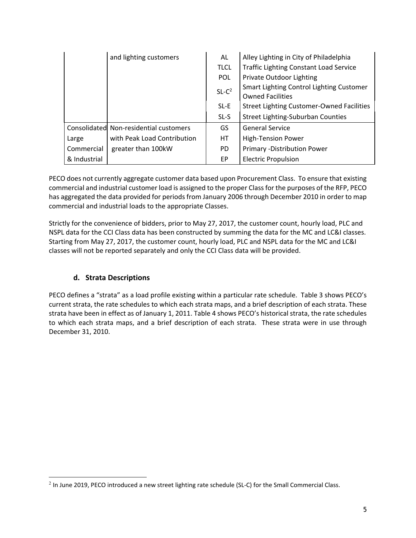|              | and lighting customers                 | AL          | Alley Lighting in City of Philadelphia                              |
|--------------|----------------------------------------|-------------|---------------------------------------------------------------------|
|              |                                        | <b>TLCL</b> | <b>Traffic Lighting Constant Load Service</b>                       |
|              |                                        | <b>POL</b>  | Private Outdoor Lighting                                            |
|              |                                        | $SL-C2$     | Smart Lighting Control Lighting Customer<br><b>Owned Facilities</b> |
|              |                                        | SL-E        | <b>Street Lighting Customer-Owned Facilities</b>                    |
|              |                                        | SL-S        | <b>Street Lighting-Suburban Counties</b>                            |
|              | Consolidated Non-residential customers | GS          | <b>General Service</b>                                              |
| Large        | with Peak Load Contribution            | HT          | <b>High-Tension Power</b>                                           |
| Commercial   | greater than 100kW                     | PD.         | <b>Primary -Distribution Power</b>                                  |
| & Industrial |                                        | EP          | <b>Electric Propulsion</b>                                          |

PECO does not currently aggregate customer data based upon Procurement Class. To ensure that existing commercial and industrial customer load is assigned to the proper Class for the purposes of the RFP, PECO has aggregated the data provided for periods from January 2006 through December 2010 in order to map commercial and industrial loads to the appropriate Classes.

Strictly for the convenience of bidders, prior to May 27, 2017, the customer count, hourly load, PLC and NSPL data for the CCI Class data has been constructed by summing the data for the MC and LC&I classes. Starting from May 27, 2017, the customer count, hourly load, PLC and NSPL data for the MC and LC&I classes will not be reported separately and only the CCI Class data will be provided.

# **d. Strata Descriptions**

 $\overline{a}$ 

PECO defines a "strata" as a load profile existing within a particular rate schedule. Table 3 shows PECO's current strata, the rate schedules to which each strata maps, and a brief description of each strata. These strata have been in effect as of January 1, 2011. Table 4 shows PECO's historical strata, the rate schedules to which each strata maps, and a brief description of each strata. These strata were in use through December 31, 2010.

<sup>2</sup> In June 2019, PECO introduced a new street lighting rate schedule (SL‐C) for the Small Commercial Class.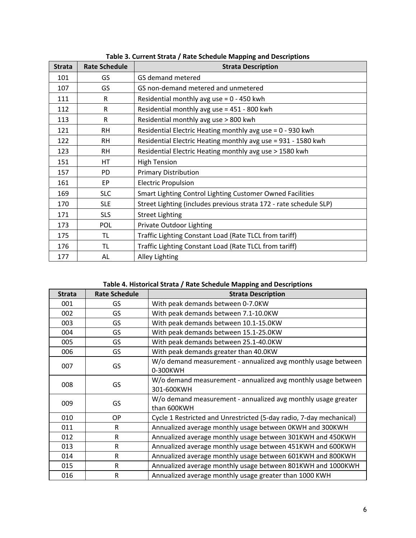| <b>Strata</b> | <b>Rate Schedule</b> | si carichi, strata ji nate seneaare mapping ana pesemptions<br><b>Strata Description</b> |
|---------------|----------------------|------------------------------------------------------------------------------------------|
| 101           | GS.                  | GS demand metered                                                                        |
| 107           | GS                   | GS non-demand metered and unmetered                                                      |
| 111           | R                    | Residential monthly avg use = $0 - 450$ kwh                                              |
| 112           | R                    | Residential monthly avg use = 451 - 800 kwh                                              |
| 113           | R                    | Residential monthly avg use > 800 kwh                                                    |
| 121           | <b>RH</b>            | Residential Electric Heating monthly avg use = 0 - 930 kwh                               |
| 122           | <b>RH</b>            | Residential Electric Heating monthly avg use = 931 - 1580 kwh                            |
| 123           | <b>RH</b>            | Residential Electric Heating monthly avg use > 1580 kwh                                  |
| 151           | HT                   | <b>High Tension</b>                                                                      |
| 157           | PD                   | <b>Primary Distribution</b>                                                              |
| 161           | EP                   | <b>Electric Propulsion</b>                                                               |
| 169           | <b>SLC</b>           | Smart Lighting Control Lighting Customer Owned Facilities                                |
| 170           | <b>SLE</b>           | Street Lighting (includes previous strata 172 - rate schedule SLP)                       |
| 171           | <b>SLS</b>           | <b>Street Lighting</b>                                                                   |
| 173           | <b>POL</b>           | Private Outdoor Lighting                                                                 |
| 175           | TL                   | Traffic Lighting Constant Load (Rate TLCL from tariff)                                   |
| 176           | TL                   | Traffic Lighting Constant Load (Rate TLCL from tariff)                                   |
| 177           | AL                   | <b>Alley Lighting</b>                                                                    |

**Table 3. Current Strata / Rate Schedule Mapping and Descriptions** 

### **Table 4. Historical Strata / Rate Schedule Mapping and Descriptions**

|                          | Table 4. Historical Strata / Rate Schedule Mapping and Descriptions |                                                                             |  |  |  |
|--------------------------|---------------------------------------------------------------------|-----------------------------------------------------------------------------|--|--|--|
| <b>Strata</b>            | <b>Rate Schedule</b>                                                | <b>Strata Description</b>                                                   |  |  |  |
| 001                      | GS                                                                  | With peak demands between 0-7.0KW                                           |  |  |  |
| 002                      | GS                                                                  | With peak demands between 7.1-10.0KW                                        |  |  |  |
| 003                      | GS                                                                  | With peak demands between 10.1-15.0KW                                       |  |  |  |
| 004                      | GS                                                                  | With peak demands between 15.1-25.0KW                                       |  |  |  |
| 005                      | GS                                                                  | With peak demands between 25.1-40.0KW                                       |  |  |  |
| 006                      | GS                                                                  | With peak demands greater than 40.0KW                                       |  |  |  |
| 007                      | GS                                                                  | W/o demand measurement - annualized avg monthly usage between<br>0-300KWH   |  |  |  |
| 008                      | GS                                                                  | W/o demand measurement - annualized avg monthly usage between<br>301-600KWH |  |  |  |
| GS<br>009<br>than 600KWH |                                                                     | W/o demand measurement - annualized avg monthly usage greater               |  |  |  |
| 010                      | OP                                                                  | Cycle 1 Restricted and Unrestricted (5-day radio, 7-day mechanical)         |  |  |  |
| 011<br>R                 |                                                                     | Annualized average monthly usage between OKWH and 300KWH                    |  |  |  |
| 012<br>R                 |                                                                     | Annualized average monthly usage between 301KWH and 450KWH                  |  |  |  |
| 013<br>R                 |                                                                     | Annualized average monthly usage between 451KWH and 600KWH                  |  |  |  |
| 014                      | R                                                                   | Annualized average monthly usage between 601KWH and 800KWH                  |  |  |  |
| 015                      | R                                                                   | Annualized average monthly usage between 801KWH and 1000KWH                 |  |  |  |
| 016                      | R                                                                   | Annualized average monthly usage greater than 1000 KWH                      |  |  |  |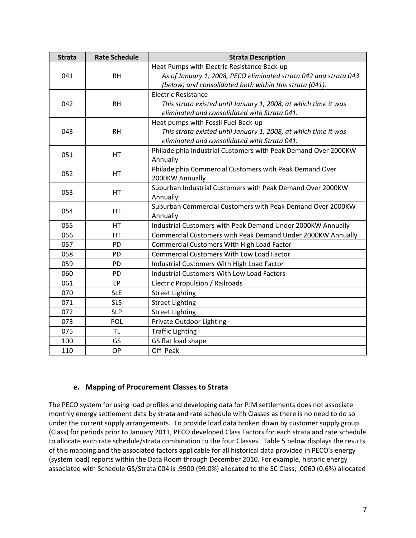| <b>Strata</b> | <b>Rate Schedule</b> | <b>Strata Description</b>                                        |
|---------------|----------------------|------------------------------------------------------------------|
|               |                      | Heat Pumps with Electric Resistance Back-up                      |
| 041           | <b>RH</b>            | As of January 1, 2008, PECO eliminated strata 042 and strata 043 |
|               |                      | (below) and consolidated both within this strata (041).          |
|               |                      | <b>Electric Resistance</b>                                       |
| 042           | <b>RH</b>            | This strata existed until January 1, 2008, at which time it was  |
|               |                      | eliminated and consolidated with Strata 041.                     |
|               |                      | Heat pumps with Fossil Fuel Back-up                              |
| 043           | <b>RH</b>            | This strata existed until January 1, 2008, at which time it was  |
|               |                      | eliminated and consolidated with Strata 041.                     |
| 051           | HT                   | Philadelphia Industrial Customers with Peak Demand Over 2000KW   |
|               |                      | Annually                                                         |
| 052           | HT                   | Philadelphia Commercial Customers with Peak Demand Over          |
|               |                      | 2000KW Annually                                                  |
| 053           | HT                   | Suburban Industrial Customers with Peak Demand Over 2000KW       |
|               |                      | Annually                                                         |
| 054           | <b>HT</b>            | Suburban Commercial Customers with Peak Demand Over 2000KW       |
|               |                      | Annually                                                         |
| 055           | <b>HT</b>            | Industrial Customers with Peak Demand Under 2000KW Annually      |
| 056           | <b>HT</b>            | Commercial Customers with Peak Demand Under 2000KW Annually      |
| 057           | PD                   | Commercial Customers With High Load Factor                       |
| 058           | <b>PD</b>            | <b>Commercial Customers With Low Load Factor</b>                 |
| 059           | PD                   | Industrial Customers With High Load Factor                       |
| 060           | PD                   | Industrial Customers With Low Load Factors                       |
| 061           | <b>EP</b>            | Electric Propulsion / Railroads                                  |
| 070           | <b>SLE</b>           | <b>Street Lighting</b>                                           |
| 071           | <b>SLS</b>           | <b>Street Lighting</b>                                           |
| 072           | <b>SLP</b>           | <b>Street Lighting</b>                                           |
| 073           | POL                  | Private Outdoor Lighting                                         |
| 075           | <b>TL</b>            | <b>Traffic Lighting</b>                                          |
| 100           | GS                   | GS flat load shape                                               |
| 110           | OP                   | Off Peak                                                         |

# **e. Mapping of Procurement Classes to Strata**

The PECO system for using load profiles and developing data for PJM settlements does not associate monthly energy settlement data by strata and rate schedule with Classes as there is no need to do so under the current supply arrangements. To provide load data broken down by customer supply group (Class) for periods prior to January 2011, PECO developed Class Factors for each strata and rate schedule to allocate each rate schedule/strata combination to the four Classes. Table 5 below displays the results of this mapping and the associated factors applicable for all historical data provided in PECO's energy (system load) reports within the Data Room through December 2010. For example, historic energy associated with Schedule GS/Strata 004 is .9900 (99.0%) allocated to the SC Class; .0060 (0.6%) allocated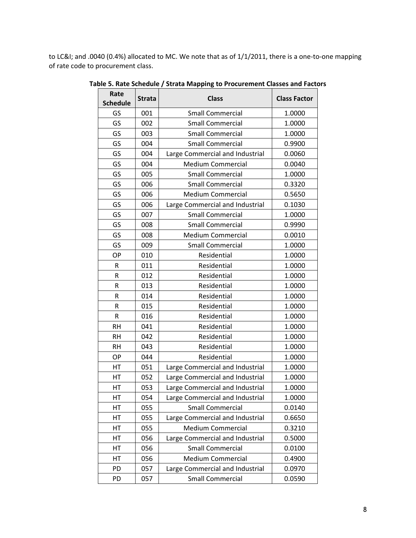to LC&I; and .0040 (0.4%) allocated to MC. We note that as of 1/1/2011, there is a one-to-one mapping of rate code to procurement class.

| Rate<br><b>Schedule</b> | <b>Strata</b> | <b>Class</b>                    | <b>Class Factor</b> |
|-------------------------|---------------|---------------------------------|---------------------|
| GS                      | 001           | <b>Small Commercial</b>         | 1.0000              |
| GS                      | 002           | <b>Small Commercial</b>         | 1.0000              |
| GS                      | 003           | <b>Small Commercial</b>         | 1.0000              |
| GS                      | 004           | <b>Small Commercial</b>         | 0.9900              |
| GS                      | 004           | Large Commercial and Industrial | 0.0060              |
| GS                      | 004           | <b>Medium Commercial</b>        | 0.0040              |
| GS                      | 005           | <b>Small Commercial</b>         | 1.0000              |
| GS                      | 006           | <b>Small Commercial</b>         | 0.3320              |
| GS                      | 006           | <b>Medium Commercial</b>        | 0.5650              |
| GS                      | 006           | Large Commercial and Industrial | 0.1030              |
| GS                      | 007           | <b>Small Commercial</b>         | 1.0000              |
| GS                      | 008           | <b>Small Commercial</b>         | 0.9990              |
| GS                      | 008           | <b>Medium Commercial</b>        | 0.0010              |
| GS                      | 009           | <b>Small Commercial</b>         | 1.0000              |
| OP                      | 010           | Residential                     | 1.0000              |
| R                       | 011           | Residential                     | 1.0000              |
| R                       | 012           | Residential                     | 1.0000              |
| $\mathsf R$             | 013           | Residential                     | 1.0000              |
| R                       | 014           | Residential                     | 1.0000              |
| $\mathsf R$             | 015           | Residential                     | 1.0000              |
| R                       | 016           | Residential                     | 1.0000              |
| <b>RH</b>               | 041           | Residential                     | 1.0000              |
| <b>RH</b>               | 042           | Residential                     | 1.0000              |
| <b>RH</b>               | 043           | Residential                     | 1.0000              |
| OP                      | 044           | Residential                     | 1.0000              |
| HT                      | 051           | Large Commercial and Industrial | 1.0000              |
| HT                      | 052           | Large Commercial and Industrial | 1.0000              |
| HТ                      | 053           | Large Commercial and Industrial | 1.0000              |
| НT                      | 054           | Large Commercial and Industrial | 1.0000              |
| HT                      | 055           | <b>Small Commercial</b>         | 0.0140              |
| HT                      | 055           | Large Commercial and Industrial | 0.6650              |
| HT                      | 055           | <b>Medium Commercial</b>        | 0.3210              |
| HT                      | 056           | Large Commercial and Industrial | 0.5000              |
| HT                      | 056           | <b>Small Commercial</b>         | 0.0100              |
| HT                      | 056           | <b>Medium Commercial</b>        | 0.4900              |
| PD                      | 057           | Large Commercial and Industrial | 0.0970              |
| PD                      | 057           | <b>Small Commercial</b>         | 0.0590              |

**Table 5. Rate Schedule / Strata Mapping to Procurement Classes and Factors**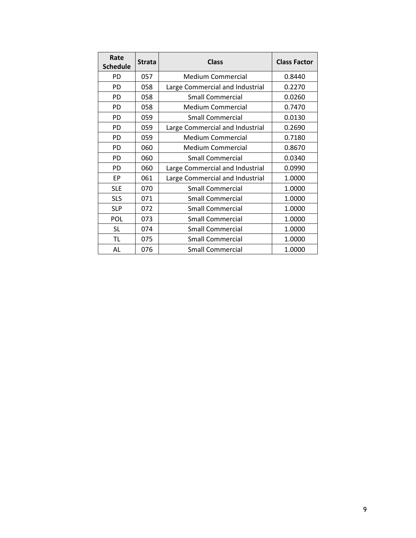| Rate<br><b>Schedule</b> | <b>Strata</b> | <b>Class</b>                    | <b>Class Factor</b> |
|-------------------------|---------------|---------------------------------|---------------------|
|                         |               |                                 |                     |
| <b>PD</b>               | 057           | <b>Medium Commercial</b>        | 0.8440              |
| <b>PD</b>               | 058           | Large Commercial and Industrial | 0.2270              |
| <b>PD</b>               | 058           | <b>Small Commercial</b>         | 0.0260              |
| PD                      | 058           | <b>Medium Commercial</b>        | 0.7470              |
| PD                      | 059           | <b>Small Commercial</b>         | 0.0130              |
| PD                      | 059           | Large Commercial and Industrial | 0.2690              |
| <b>PD</b>               | 059           | <b>Medium Commercial</b>        | 0.7180              |
| <b>PD</b>               | 060           | <b>Medium Commercial</b>        | 0.8670              |
| <b>PD</b>               | 060           | <b>Small Commercial</b>         | 0.0340              |
| <b>PD</b>               | 060           | Large Commercial and Industrial | 0.0990              |
| EP                      | 061           | Large Commercial and Industrial | 1.0000              |
| <b>SLE</b>              | 070           | <b>Small Commercial</b>         | 1.0000              |
| <b>SLS</b>              | 071           | <b>Small Commercial</b>         | 1.0000              |
| <b>SLP</b>              | 072           | <b>Small Commercial</b>         | 1.0000              |
| POL                     | 073           | <b>Small Commercial</b>         | 1.0000              |
| <b>SL</b>               | 074           | <b>Small Commercial</b>         | 1.0000              |
| <b>TL</b>               | 075           | <b>Small Commercial</b>         | 1.0000              |
| AL                      | 076           | <b>Small Commercial</b>         | 1.0000              |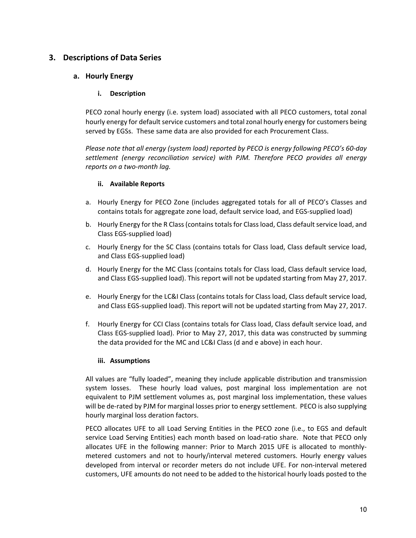# **3. Descriptions of Data Series**

### **a. Hourly Energy**

### **i. Description**

PECO zonal hourly energy (i.e. system load) associated with all PECO customers, total zonal hourly energy for default service customers and total zonal hourly energy for customers being served by EGSs. These same data are also provided for each Procurement Class.

*Please note that all energy (system load) reported by PECO is energy following PECO's 60‐day settlement (energy reconciliation service) with PJM. Therefore PECO provides all energy reports on a two‐month lag.* 

### **ii. Available Reports**

- a. Hourly Energy for PECO Zone (includes aggregated totals for all of PECO's Classes and contains totals for aggregate zone load, default service load, and EGS‐supplied load)
- b. Hourly Energy for the R Class (contains totals for Class load, Class default service load, and Class EGS‐supplied load)
- c. Hourly Energy for the SC Class (contains totals for Class load, Class default service load, and Class EGS‐supplied load)
- d. Hourly Energy for the MC Class (contains totals for Class load, Class default service load, and Class EGS‐supplied load). This report will not be updated starting from May 27, 2017.
- e. Hourly Energy for the LC&I Class (contains totals for Class load, Class default service load, and Class EGS‐supplied load). This report will not be updated starting from May 27, 2017.
- f. Hourly Energy for CCI Class (contains totals for Class load, Class default service load, and Class EGS‐supplied load). Prior to May 27, 2017, this data was constructed by summing the data provided for the MC and LC&I Class (d and e above) in each hour.

#### **iii. Assumptions**

All values are "fully loaded", meaning they include applicable distribution and transmission system losses. These hourly load values, post marginal loss implementation are not equivalent to PJM settlement volumes as, post marginal loss implementation, these values will be de-rated by PJM for marginal losses prior to energy settlement. PECO is also supplying hourly marginal loss deration factors.

PECO allocates UFE to all Load Serving Entities in the PECO zone (i.e., to EGS and default service Load Serving Entities) each month based on load-ratio share. Note that PECO only allocates UFE in the following manner: Prior to March 2015 UFE is allocated to monthly‐ metered customers and not to hourly/interval metered customers. Hourly energy values developed from interval or recorder meters do not include UFE. For non‐interval metered customers, UFE amounts do not need to be added to the historical hourly loads posted to the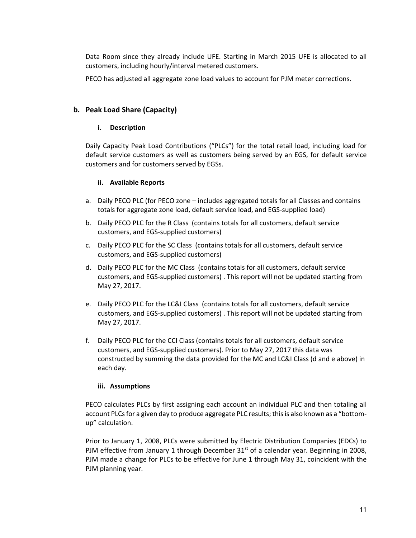Data Room since they already include UFE. Starting in March 2015 UFE is allocated to all customers, including hourly/interval metered customers.

PECO has adjusted all aggregate zone load values to account for PJM meter corrections.

### **b. Peak Load Share (Capacity)**

#### **i. Description**

Daily Capacity Peak Load Contributions ("PLCs") for the total retail load, including load for default service customers as well as customers being served by an EGS, for default service customers and for customers served by EGSs.

### **ii. Available Reports**

- a. Daily PECO PLC (for PECO zone includes aggregated totals for all Classes and contains totals for aggregate zone load, default service load, and EGS‐supplied load)
- b. Daily PECO PLC for the R Class (contains totals for all customers, default service customers, and EGS‐supplied customers)
- c. Daily PECO PLC for the SC Class (contains totals for all customers, default service customers, and EGS‐supplied customers)
- d. Daily PECO PLC for the MC Class (contains totals for all customers, default service customers, and EGS‐supplied customers) . This report will not be updated starting from May 27, 2017.
- e. Daily PECO PLC for the LC&I Class (contains totals for all customers, default service customers, and EGS‐supplied customers) . This report will not be updated starting from May 27, 2017.
- f. Daily PECO PLC for the CCI Class (contains totals for all customers, default service customers, and EGS‐supplied customers). Prior to May 27, 2017 this data was constructed by summing the data provided for the MC and LC&I Class (d and e above) in each day.

#### **iii. Assumptions**

PECO calculates PLCs by first assigning each account an individual PLC and then totaling all account PLCs for a given day to produce aggregate PLC results; this is also known as a "bottom‐ up" calculation.

Prior to January 1, 2008, PLCs were submitted by Electric Distribution Companies (EDCs) to PJM effective from January 1 through December  $31<sup>st</sup>$  of a calendar year. Beginning in 2008, PJM made a change for PLCs to be effective for June 1 through May 31, coincident with the PJM planning year.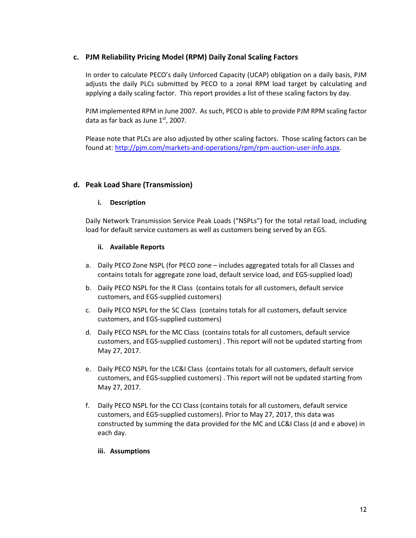### **c. PJM Reliability Pricing Model (RPM) Daily Zonal Scaling Factors**

In order to calculate PECO's daily Unforced Capacity (UCAP) obligation on a daily basis, PJM adjusts the daily PLCs submitted by PECO to a zonal RPM load target by calculating and applying a daily scaling factor. This report provides a list of these scaling factors by day.

PJM implemented RPM in June 2007. As such, PECO is able to provide PJM RPM scaling factor data as far back as June  $1<sup>st</sup>$ , 2007.

Please note that PLCs are also adjusted by other scaling factors. Those scaling factors can be found at: http://pjm.com/markets‐and‐operations/rpm/rpm‐auction‐user‐info.aspx.

### **d. Peak Load Share (Transmission)**

#### **i. Description**

Daily Network Transmission Service Peak Loads ("NSPLs") for the total retail load, including load for default service customers as well as customers being served by an EGS.

#### **ii. Available Reports**

- a. Daily PECO Zone NSPL (for PECO zone includes aggregated totals for all Classes and contains totals for aggregate zone load, default service load, and EGS‐supplied load)
- b. Daily PECO NSPL for the R Class (contains totals for all customers, default service customers, and EGS‐supplied customers)
- c. Daily PECO NSPL for the SC Class (contains totals for all customers, default service customers, and EGS‐supplied customers)
- d. Daily PECO NSPL for the MC Class (contains totals for all customers, default service customers, and EGS‐supplied customers) . This report will not be updated starting from May 27, 2017.
- e. Daily PECO NSPL for the LC&I Class (contains totals for all customers, default service customers, and EGS‐supplied customers) . This report will not be updated starting from May 27, 2017.
- f. Daily PECO NSPL for the CCI Class (contains totals for all customers, default service customers, and EGS‐supplied customers). Prior to May 27, 2017, this data was constructed by summing the data provided for the MC and LC&I Class (d and e above) in each day.

#### **iii. Assumptions**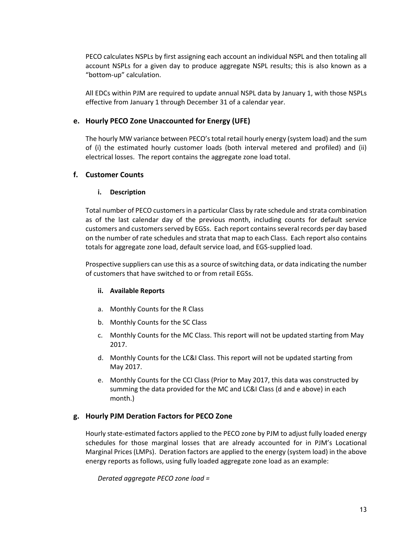PECO calculates NSPLs by first assigning each account an individual NSPL and then totaling all account NSPLs for a given day to produce aggregate NSPL results; this is also known as a "bottom‐up" calculation.

All EDCs within PJM are required to update annual NSPL data by January 1, with those NSPLs effective from January 1 through December 31 of a calendar year.

#### **e. Hourly PECO Zone Unaccounted for Energy (UFE)**

The hourly MW variance between PECO's total retail hourly energy (system load) and the sum of (i) the estimated hourly customer loads (both interval metered and profiled) and (ii) electrical losses. The report contains the aggregate zone load total.

### **f. Customer Counts**

#### **i. Description**

Total number of PECO customers in a particular Class by rate schedule and strata combination as of the last calendar day of the previous month, including counts for default service customers and customers served by EGSs. Each report contains several records per day based on the number of rate schedules and strata that map to each Class. Each report also contains totals for aggregate zone load, default service load, and EGS‐supplied load.

Prospective suppliers can use this as a source of switching data, or data indicating the number of customers that have switched to or from retail EGSs.

#### **ii. Available Reports**

- a. Monthly Counts for the R Class
- b. Monthly Counts for the SC Class
- c. Monthly Counts for the MC Class. This report will not be updated starting from May 2017.
- d. Monthly Counts for the LC&I Class. This report will not be updated starting from May 2017.
- e. Monthly Counts for the CCI Class (Prior to May 2017, this data was constructed by summing the data provided for the MC and LC&I Class (d and e above) in each month.)

### **g. Hourly PJM Deration Factors for PECO Zone**

Hourly state‐estimated factors applied to the PECO zone by PJM to adjust fully loaded energy schedules for those marginal losses that are already accounted for in PJM's Locational Marginal Prices (LMPs). Deration factors are applied to the energy (system load) in the above energy reports as follows, using fully loaded aggregate zone load as an example:

*Derated aggregate PECO zone load =*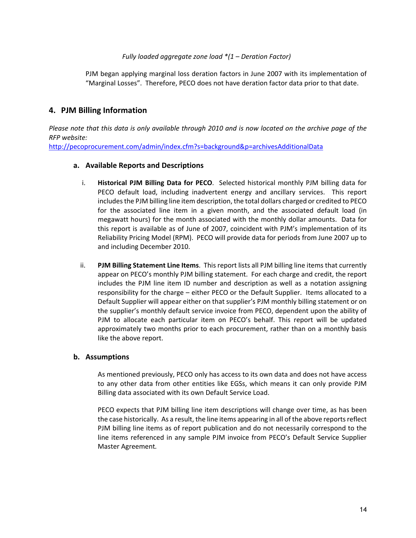#### *Fully loaded aggregate zone load \*(1 – Deration Factor)*

PJM began applying marginal loss deration factors in June 2007 with its implementation of "Marginal Losses". Therefore, PECO does not have deration factor data prior to that date.

### **4. PJM Billing Information**

*Please note that this data is only available through 2010 and is now located on the archive page of the RFP website:* 

http://pecoprocurement.com/admin/index.cfm?s=background&p=archivesAdditionalData

#### **a. Available Reports and Descriptions**

- i. **Historical PJM Billing Data for PECO**. Selected historical monthly PJM billing data for PECO default load, including inadvertent energy and ancillary services. This report includes the PJM billing line item description, the total dollars charged or credited to PECO for the associated line item in a given month, and the associated default load (in megawatt hours) for the month associated with the monthly dollar amounts. Data for this report is available as of June of 2007, coincident with PJM's implementation of its Reliability Pricing Model (RPM). PECO will provide data for periods from June 2007 up to and including December 2010.
- ii. **PJM Billing Statement Line Items**. This report lists all PJM billing line items that currently appear on PECO's monthly PJM billing statement. For each charge and credit, the report includes the PJM line item ID number and description as well as a notation assigning responsibility for the charge – either PECO or the Default Supplier. Items allocated to a Default Supplier will appear either on that supplier's PJM monthly billing statement or on the supplier's monthly default service invoice from PECO, dependent upon the ability of PJM to allocate each particular item on PECO's behalf. This report will be updated approximately two months prior to each procurement, rather than on a monthly basis like the above report.

#### **b. Assumptions**

As mentioned previously, PECO only has access to its own data and does not have access to any other data from other entities like EGSs, which means it can only provide PJM Billing data associated with its own Default Service Load.

PECO expects that PJM billing line item descriptions will change over time, as has been the case historically. As a result, the line items appearing in all of the above reports reflect PJM billing line items as of report publication and do not necessarily correspond to the line items referenced in any sample PJM invoice from PECO's Default Service Supplier Master Agreement*.*